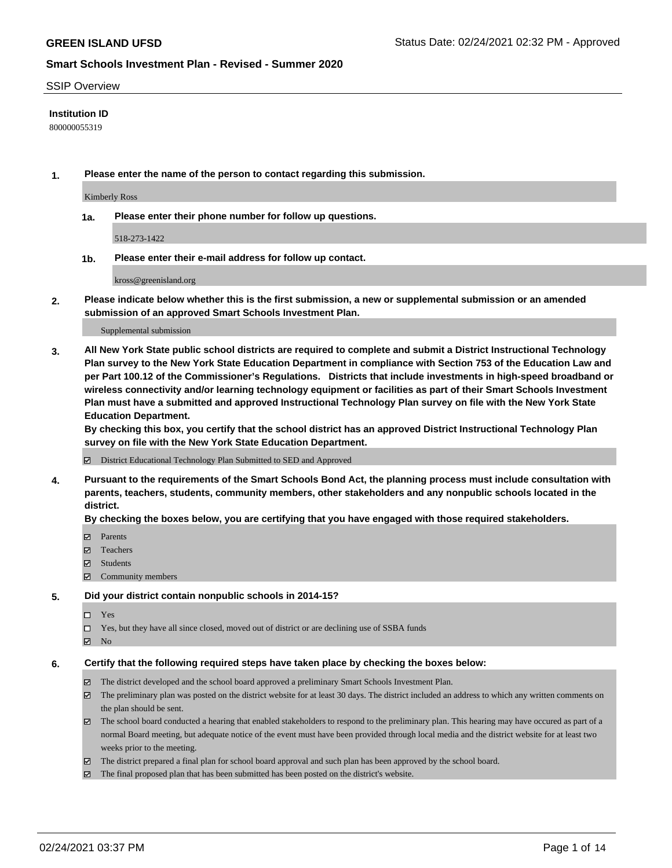#### SSIP Overview

### **Institution ID**

800000055319

**1. Please enter the name of the person to contact regarding this submission.**

Kimberly Ross

**1a. Please enter their phone number for follow up questions.**

518-273-1422

**1b. Please enter their e-mail address for follow up contact.**

kross@greenisland.org

**2. Please indicate below whether this is the first submission, a new or supplemental submission or an amended submission of an approved Smart Schools Investment Plan.**

#### Supplemental submission

**3. All New York State public school districts are required to complete and submit a District Instructional Technology Plan survey to the New York State Education Department in compliance with Section 753 of the Education Law and per Part 100.12 of the Commissioner's Regulations. Districts that include investments in high-speed broadband or wireless connectivity and/or learning technology equipment or facilities as part of their Smart Schools Investment Plan must have a submitted and approved Instructional Technology Plan survey on file with the New York State Education Department.** 

**By checking this box, you certify that the school district has an approved District Instructional Technology Plan survey on file with the New York State Education Department.**

District Educational Technology Plan Submitted to SED and Approved

**4. Pursuant to the requirements of the Smart Schools Bond Act, the planning process must include consultation with parents, teachers, students, community members, other stakeholders and any nonpublic schools located in the district.** 

### **By checking the boxes below, you are certifying that you have engaged with those required stakeholders.**

- **Ø** Parents
- Teachers
- Students
- $\Xi$  Community members

#### **5. Did your district contain nonpublic schools in 2014-15?**

- □ Yes
- □ Yes, but they have all since closed, moved out of district or are declining use of SSBA funds
- **Ø** No

#### **6. Certify that the following required steps have taken place by checking the boxes below:**

- The district developed and the school board approved a preliminary Smart Schools Investment Plan.
- The preliminary plan was posted on the district website for at least 30 days. The district included an address to which any written comments on the plan should be sent.
- The school board conducted a hearing that enabled stakeholders to respond to the preliminary plan. This hearing may have occured as part of a normal Board meeting, but adequate notice of the event must have been provided through local media and the district website for at least two weeks prior to the meeting.
- The district prepared a final plan for school board approval and such plan has been approved by the school board.
- $\boxtimes$  The final proposed plan that has been submitted has been posted on the district's website.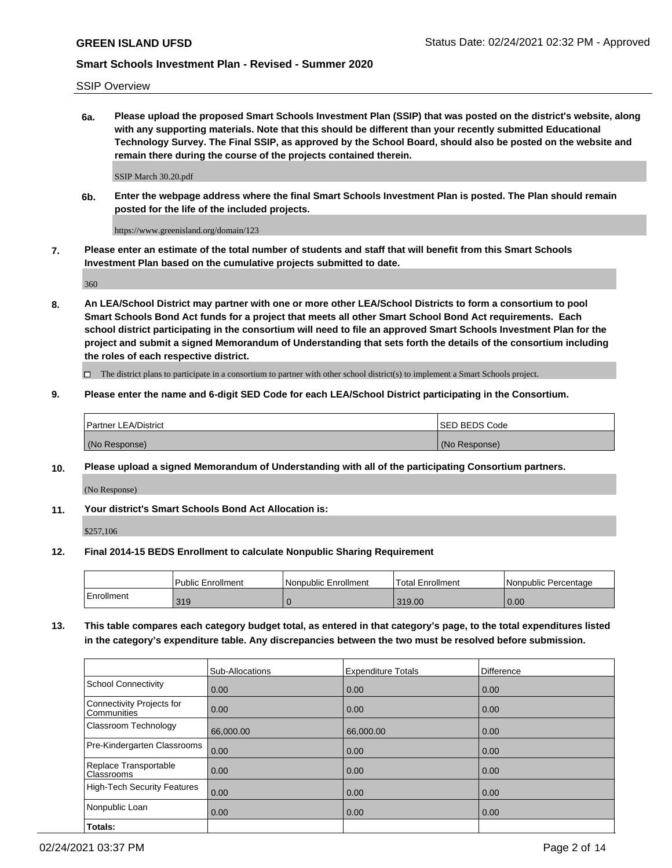SSIP Overview

**6a. Please upload the proposed Smart Schools Investment Plan (SSIP) that was posted on the district's website, along with any supporting materials. Note that this should be different than your recently submitted Educational Technology Survey. The Final SSIP, as approved by the School Board, should also be posted on the website and remain there during the course of the projects contained therein.**

SSIP March 30.20.pdf

**6b. Enter the webpage address where the final Smart Schools Investment Plan is posted. The Plan should remain posted for the life of the included projects.**

https://www.greenisland.org/domain/123

**7. Please enter an estimate of the total number of students and staff that will benefit from this Smart Schools Investment Plan based on the cumulative projects submitted to date.**

360

**8. An LEA/School District may partner with one or more other LEA/School Districts to form a consortium to pool Smart Schools Bond Act funds for a project that meets all other Smart School Bond Act requirements. Each school district participating in the consortium will need to file an approved Smart Schools Investment Plan for the project and submit a signed Memorandum of Understanding that sets forth the details of the consortium including the roles of each respective district.**

 $\Box$  The district plans to participate in a consortium to partner with other school district(s) to implement a Smart Schools project.

### **9. Please enter the name and 6-digit SED Code for each LEA/School District participating in the Consortium.**

| Partner LEA/District | <b>ISED BEDS Code</b> |
|----------------------|-----------------------|
| (No Response)        | (No Response)         |

### **10. Please upload a signed Memorandum of Understanding with all of the participating Consortium partners.**

(No Response)

**11. Your district's Smart Schools Bond Act Allocation is:**

\$257,106

### **12. Final 2014-15 BEDS Enrollment to calculate Nonpublic Sharing Requirement**

|            | <b>Public Enrollment</b> | Nonpublic Enrollment | Total Enrollment | l Nonpublic Percentage |
|------------|--------------------------|----------------------|------------------|------------------------|
| Enrollment | 319                      |                      | 319.00           | 0.00                   |

**13. This table compares each category budget total, as entered in that category's page, to the total expenditures listed in the category's expenditure table. Any discrepancies between the two must be resolved before submission.**

|                                          | Sub-Allocations | <b>Expenditure Totals</b> | <b>Difference</b> |
|------------------------------------------|-----------------|---------------------------|-------------------|
| <b>School Connectivity</b>               | 0.00            | 0.00                      | 0.00              |
| Connectivity Projects for<br>Communities | 0.00            | 0.00                      | 0.00              |
| Classroom Technology                     | 66,000.00       | 66,000.00                 | 0.00              |
| Pre-Kindergarten Classrooms              | 0.00            | 0.00                      | 0.00              |
| Replace Transportable<br>Classrooms      | 0.00            | 0.00                      | 0.00              |
| High-Tech Security Features              | 0.00            | 0.00                      | 0.00              |
| Nonpublic Loan                           | 0.00            | 0.00                      | 0.00              |
| Totals:                                  |                 |                           |                   |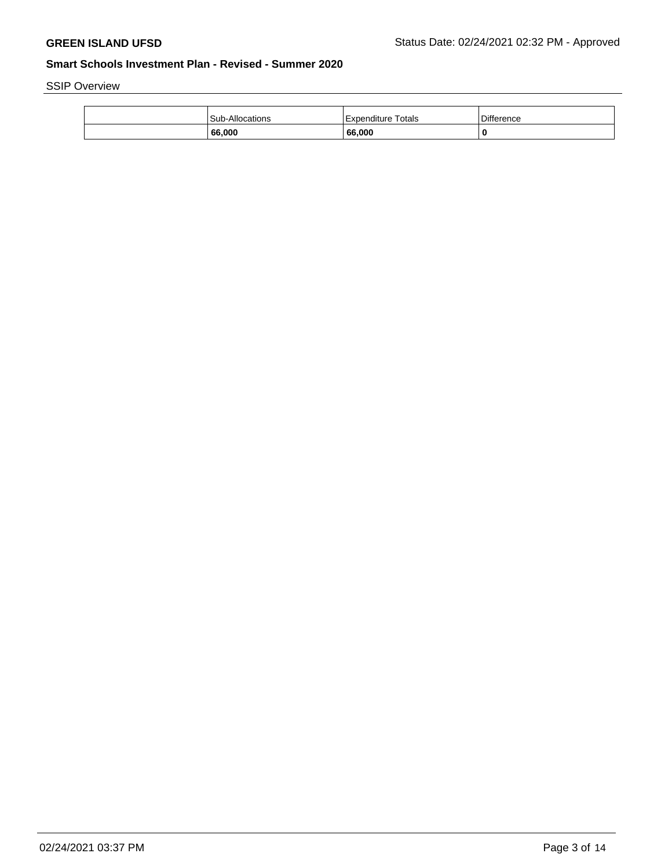SSIP Overview

| Sub-Allocations | Totals<br>Expenditure | Difference |
|-----------------|-----------------------|------------|
| 66.000          | 66,000                |            |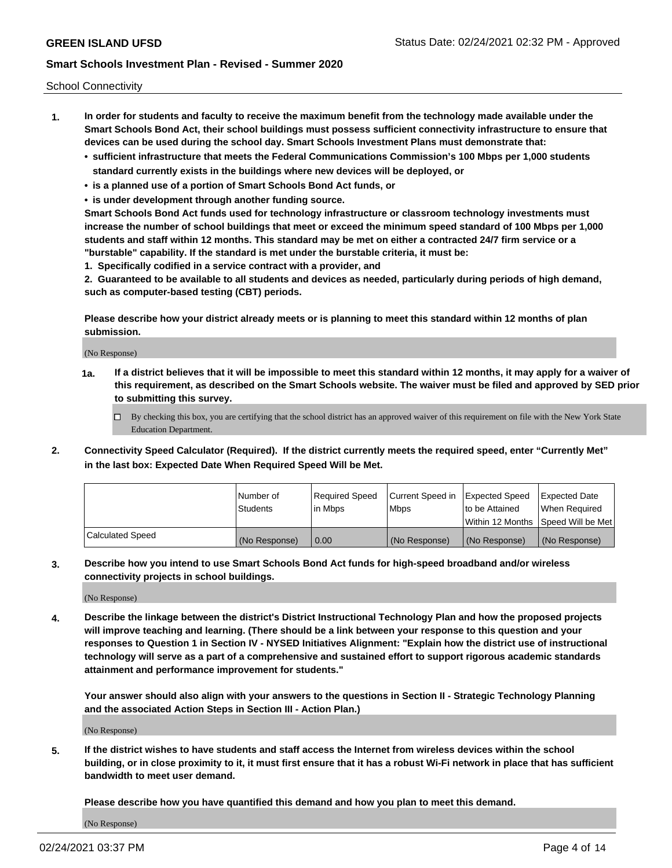School Connectivity

- **1. In order for students and faculty to receive the maximum benefit from the technology made available under the Smart Schools Bond Act, their school buildings must possess sufficient connectivity infrastructure to ensure that devices can be used during the school day. Smart Schools Investment Plans must demonstrate that:**
	- **• sufficient infrastructure that meets the Federal Communications Commission's 100 Mbps per 1,000 students standard currently exists in the buildings where new devices will be deployed, or**
	- **• is a planned use of a portion of Smart Schools Bond Act funds, or**
	- **• is under development through another funding source.**

**Smart Schools Bond Act funds used for technology infrastructure or classroom technology investments must increase the number of school buildings that meet or exceed the minimum speed standard of 100 Mbps per 1,000 students and staff within 12 months. This standard may be met on either a contracted 24/7 firm service or a "burstable" capability. If the standard is met under the burstable criteria, it must be:**

**1. Specifically codified in a service contract with a provider, and**

**2. Guaranteed to be available to all students and devices as needed, particularly during periods of high demand, such as computer-based testing (CBT) periods.**

**Please describe how your district already meets or is planning to meet this standard within 12 months of plan submission.**

(No Response)

**1a. If a district believes that it will be impossible to meet this standard within 12 months, it may apply for a waiver of this requirement, as described on the Smart Schools website. The waiver must be filed and approved by SED prior to submitting this survey.**

 $\Box$  By checking this box, you are certifying that the school district has an approved waiver of this requirement on file with the New York State Education Department.

**2. Connectivity Speed Calculator (Required). If the district currently meets the required speed, enter "Currently Met" in the last box: Expected Date When Required Speed Will be Met.**

|                  | l Number of     | Required Speed | Current Speed in | Expected Speed  | Expected Date                           |
|------------------|-----------------|----------------|------------------|-----------------|-----------------------------------------|
|                  | <b>Students</b> | In Mbps        | l Mbps           | to be Attained  | When Required                           |
|                  |                 |                |                  |                 | l Within 12 Months ISpeed Will be Met l |
| Calculated Speed | (No Response)   | 0.00           | (No Response)    | l (No Response) | l (No Response)                         |

**3. Describe how you intend to use Smart Schools Bond Act funds for high-speed broadband and/or wireless connectivity projects in school buildings.**

(No Response)

**4. Describe the linkage between the district's District Instructional Technology Plan and how the proposed projects will improve teaching and learning. (There should be a link between your response to this question and your responses to Question 1 in Section IV - NYSED Initiatives Alignment: "Explain how the district use of instructional technology will serve as a part of a comprehensive and sustained effort to support rigorous academic standards attainment and performance improvement for students."** 

**Your answer should also align with your answers to the questions in Section II - Strategic Technology Planning and the associated Action Steps in Section III - Action Plan.)**

(No Response)

**5. If the district wishes to have students and staff access the Internet from wireless devices within the school building, or in close proximity to it, it must first ensure that it has a robust Wi-Fi network in place that has sufficient bandwidth to meet user demand.**

**Please describe how you have quantified this demand and how you plan to meet this demand.**

(No Response)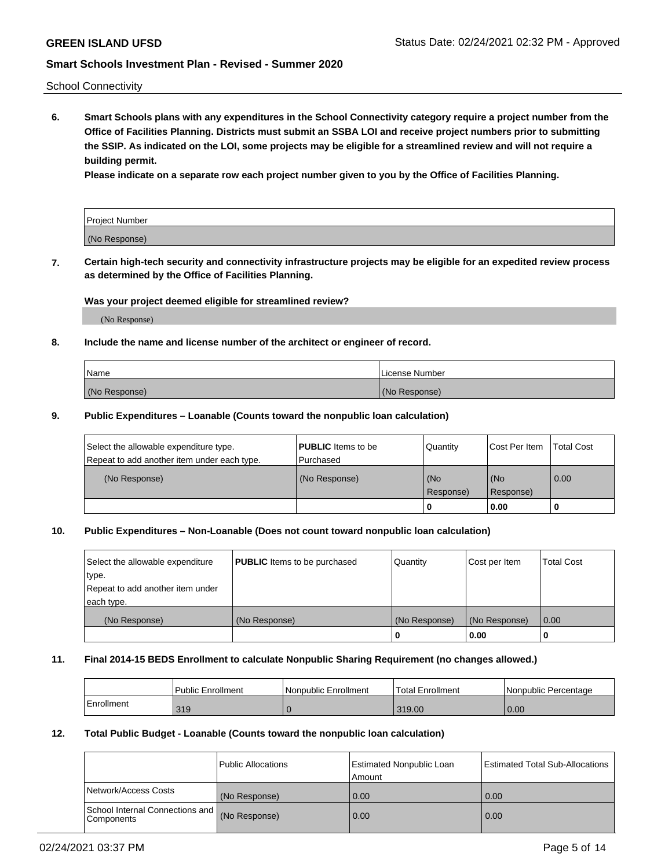School Connectivity

**6. Smart Schools plans with any expenditures in the School Connectivity category require a project number from the Office of Facilities Planning. Districts must submit an SSBA LOI and receive project numbers prior to submitting the SSIP. As indicated on the LOI, some projects may be eligible for a streamlined review and will not require a building permit.**

**Please indicate on a separate row each project number given to you by the Office of Facilities Planning.**

| Project Number |  |
|----------------|--|
| (No Response)  |  |

**7. Certain high-tech security and connectivity infrastructure projects may be eligible for an expedited review process as determined by the Office of Facilities Planning.**

### **Was your project deemed eligible for streamlined review?**

(No Response)

### **8. Include the name and license number of the architect or engineer of record.**

| Name          | License Number |
|---------------|----------------|
| (No Response) | (No Response)  |

### **9. Public Expenditures – Loanable (Counts toward the nonpublic loan calculation)**

| Select the allowable expenditure type.<br>Repeat to add another item under each type. | <b>PUBLIC</b> Items to be<br>l Purchased | Quantity           | Cost Per Item    | <b>Total Cost</b> |
|---------------------------------------------------------------------------------------|------------------------------------------|--------------------|------------------|-------------------|
| (No Response)                                                                         | (No Response)                            | l (No<br>Response) | (No<br>Response) | $\overline{0.00}$ |
|                                                                                       |                                          | O                  | 0.00             |                   |

## **10. Public Expenditures – Non-Loanable (Does not count toward nonpublic loan calculation)**

| Select the allowable expenditure<br>type.<br>Repeat to add another item under<br>each type. | <b>PUBLIC</b> Items to be purchased | Quantity      | Cost per Item | <b>Total Cost</b> |
|---------------------------------------------------------------------------------------------|-------------------------------------|---------------|---------------|-------------------|
| (No Response)                                                                               | (No Response)                       | (No Response) | (No Response) | 0.00              |
|                                                                                             |                                     |               | 0.00          |                   |

#### **11. Final 2014-15 BEDS Enrollment to calculate Nonpublic Sharing Requirement (no changes allowed.)**

|            | Public Enrollment | l Nonpublic Enrollment | <b>Total Enrollment</b> | Nonpublic Percentage |
|------------|-------------------|------------------------|-------------------------|----------------------|
| Enrollment | 319               |                        | 319.00                  | 0.00                 |

### **12. Total Public Budget - Loanable (Counts toward the nonpublic loan calculation)**

|                                                      | Public Allocations | <b>Estimated Nonpublic Loan</b><br>Amount | Estimated Total Sub-Allocations |
|------------------------------------------------------|--------------------|-------------------------------------------|---------------------------------|
| Network/Access Costs                                 | (No Response)      | 0.00                                      | 0.00                            |
| School Internal Connections and<br><b>Components</b> | (No Response)      | 0.00                                      | 0.00                            |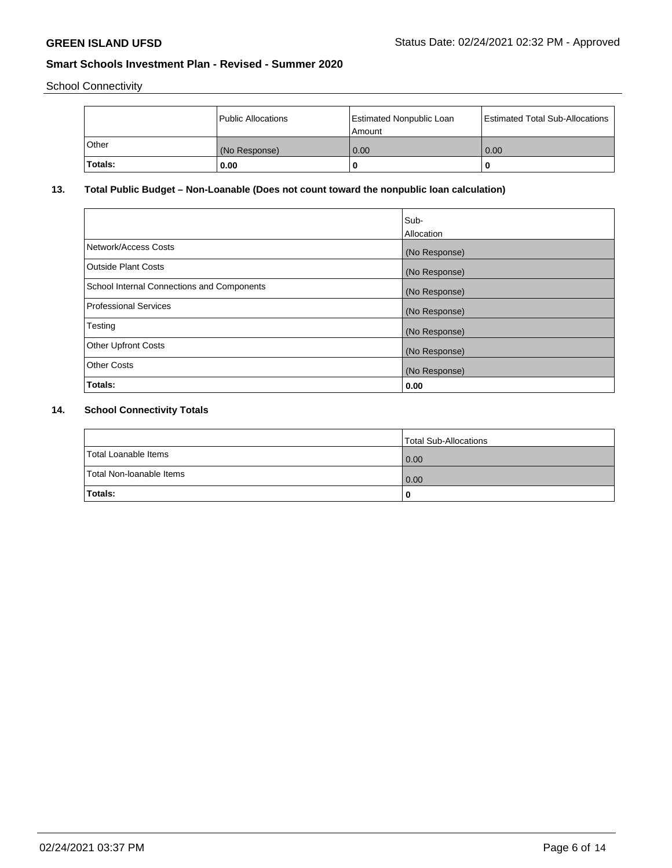School Connectivity

|              | Public Allocations | <b>Estimated Nonpublic Loan</b><br>Amount | <b>Estimated Total Sub-Allocations</b> |
|--------------|--------------------|-------------------------------------------|----------------------------------------|
| <b>Other</b> | (No Response)      | 0.00                                      | 0.00                                   |
| Totals:      | 0.00               |                                           | 0                                      |

# **13. Total Public Budget – Non-Loanable (Does not count toward the nonpublic loan calculation)**

|                                                   | Sub-<br>Allocation |
|---------------------------------------------------|--------------------|
| Network/Access Costs                              | (No Response)      |
| <b>Outside Plant Costs</b>                        | (No Response)      |
| <b>School Internal Connections and Components</b> | (No Response)      |
| Professional Services                             | (No Response)      |
| Testing                                           | (No Response)      |
| <b>Other Upfront Costs</b>                        | (No Response)      |
| <b>Other Costs</b>                                | (No Response)      |
| Totals:                                           | 0.00               |

# **14. School Connectivity Totals**

|                          | Total Sub-Allocations |
|--------------------------|-----------------------|
| Total Loanable Items     | 0.00                  |
| Total Non-Ioanable Items | 0.00                  |
| Totals:                  | 0                     |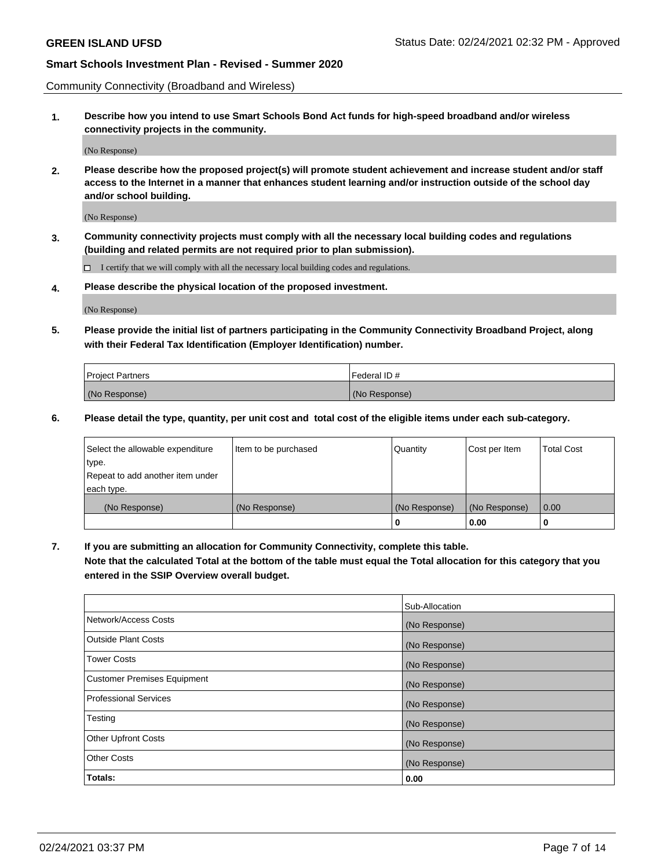Community Connectivity (Broadband and Wireless)

**1. Describe how you intend to use Smart Schools Bond Act funds for high-speed broadband and/or wireless connectivity projects in the community.**

(No Response)

**2. Please describe how the proposed project(s) will promote student achievement and increase student and/or staff access to the Internet in a manner that enhances student learning and/or instruction outside of the school day and/or school building.**

(No Response)

**3. Community connectivity projects must comply with all the necessary local building codes and regulations (building and related permits are not required prior to plan submission).**

 $\Box$  I certify that we will comply with all the necessary local building codes and regulations.

**4. Please describe the physical location of the proposed investment.**

(No Response)

**5. Please provide the initial list of partners participating in the Community Connectivity Broadband Project, along with their Federal Tax Identification (Employer Identification) number.**

| <b>Project Partners</b> | l Federal ID # |
|-------------------------|----------------|
| (No Response)           | (No Response)  |

**6. Please detail the type, quantity, per unit cost and total cost of the eligible items under each sub-category.**

| Select the allowable expenditure | Item to be purchased | Quantity      | Cost per Item | <b>Total Cost</b> |
|----------------------------------|----------------------|---------------|---------------|-------------------|
| type.                            |                      |               |               |                   |
| Repeat to add another item under |                      |               |               |                   |
| each type.                       |                      |               |               |                   |
| (No Response)                    | (No Response)        | (No Response) | (No Response) | 0.00              |
|                                  |                      | U             | 0.00          |                   |

**7. If you are submitting an allocation for Community Connectivity, complete this table.**

**Note that the calculated Total at the bottom of the table must equal the Total allocation for this category that you entered in the SSIP Overview overall budget.**

|                                    | Sub-Allocation |
|------------------------------------|----------------|
| Network/Access Costs               | (No Response)  |
| Outside Plant Costs                | (No Response)  |
| <b>Tower Costs</b>                 | (No Response)  |
| <b>Customer Premises Equipment</b> | (No Response)  |
| <b>Professional Services</b>       | (No Response)  |
| Testing                            | (No Response)  |
| <b>Other Upfront Costs</b>         | (No Response)  |
| <b>Other Costs</b>                 | (No Response)  |
| Totals:                            | 0.00           |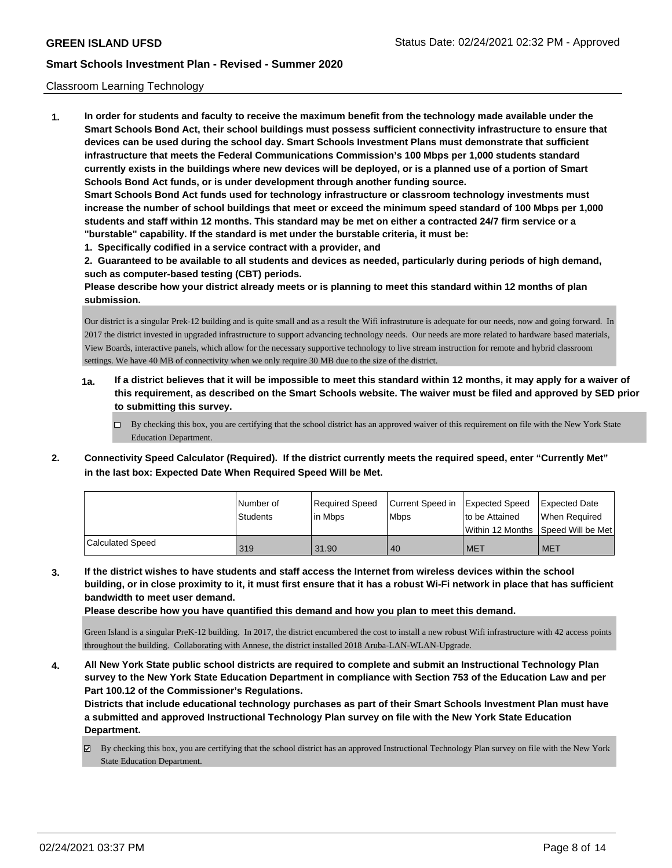### Classroom Learning Technology

**1. In order for students and faculty to receive the maximum benefit from the technology made available under the Smart Schools Bond Act, their school buildings must possess sufficient connectivity infrastructure to ensure that devices can be used during the school day. Smart Schools Investment Plans must demonstrate that sufficient infrastructure that meets the Federal Communications Commission's 100 Mbps per 1,000 students standard currently exists in the buildings where new devices will be deployed, or is a planned use of a portion of Smart Schools Bond Act funds, or is under development through another funding source. Smart Schools Bond Act funds used for technology infrastructure or classroom technology investments must increase the number of school buildings that meet or exceed the minimum speed standard of 100 Mbps per 1,000 students and staff within 12 months. This standard may be met on either a contracted 24/7 firm service or a "burstable" capability. If the standard is met under the burstable criteria, it must be:**

**1. Specifically codified in a service contract with a provider, and**

**2. Guaranteed to be available to all students and devices as needed, particularly during periods of high demand, such as computer-based testing (CBT) periods.**

**Please describe how your district already meets or is planning to meet this standard within 12 months of plan submission.**

Our district is a singular Prek-12 building and is quite small and as a result the Wifi infrastruture is adequate for our needs, now and going forward. In 2017 the district invested in upgraded infrastructure to support advancing technology needs. Our needs are more related to hardware based materials, View Boards, interactive panels, which allow for the necessary supportive technology to live stream instruction for remote and hybrid classroom settings. We have 40 MB of connectivity when we only require 30 MB due to the size of the district.

- **1a. If a district believes that it will be impossible to meet this standard within 12 months, it may apply for a waiver of this requirement, as described on the Smart Schools website. The waiver must be filed and approved by SED prior to submitting this survey.**
	- By checking this box, you are certifying that the school district has an approved waiver of this requirement on file with the New York State Education Department.
- **2. Connectivity Speed Calculator (Required). If the district currently meets the required speed, enter "Currently Met" in the last box: Expected Date When Required Speed Will be Met.**

|                  | l Number of     | Required Speed | Current Speed in Expected Speed | to be Attained                       | <b>Expected Date</b> |
|------------------|-----------------|----------------|---------------------------------|--------------------------------------|----------------------|
|                  | <b>Students</b> | lin Mbps       | <b>Mbps</b>                     | Within 12 Months 1Speed Will be Met1 | When Required        |
| Calculated Speed | 319             | 31.90          | 40                              | <b>MET</b>                           | <b>MET</b>           |

**3. If the district wishes to have students and staff access the Internet from wireless devices within the school building, or in close proximity to it, it must first ensure that it has a robust Wi-Fi network in place that has sufficient bandwidth to meet user demand.**

**Please describe how you have quantified this demand and how you plan to meet this demand.**

Green Island is a singular PreK-12 building. In 2017, the district encumbered the cost to install a new robust Wifi infrastructure with 42 access points throughout the building. Collaborating with Annese, the district installed 2018 Aruba-LAN-WLAN-Upgrade.

**4. All New York State public school districts are required to complete and submit an Instructional Technology Plan survey to the New York State Education Department in compliance with Section 753 of the Education Law and per Part 100.12 of the Commissioner's Regulations.**

**Districts that include educational technology purchases as part of their Smart Schools Investment Plan must have a submitted and approved Instructional Technology Plan survey on file with the New York State Education Department.**

By checking this box, you are certifying that the school district has an approved Instructional Technology Plan survey on file with the New York State Education Department.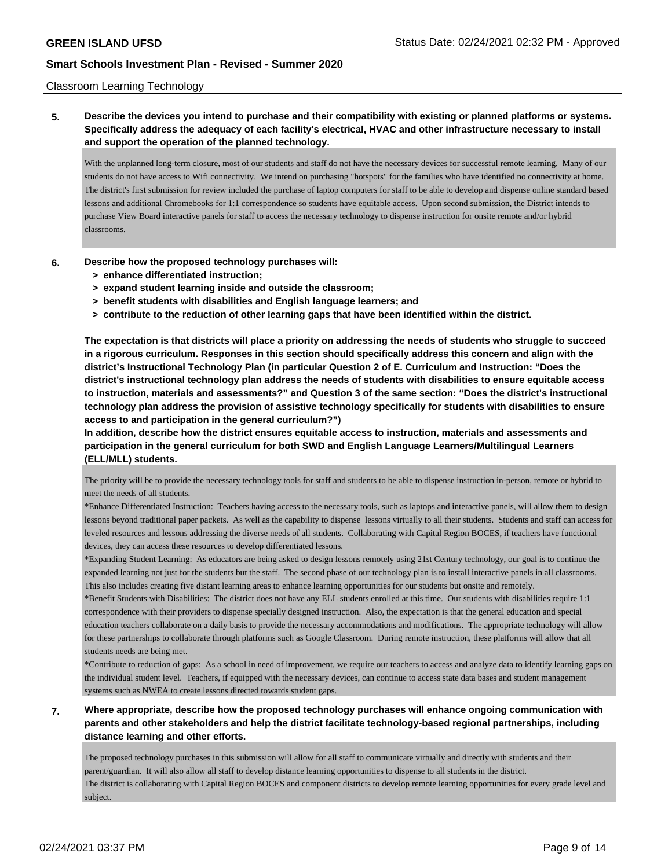### Classroom Learning Technology

# **5. Describe the devices you intend to purchase and their compatibility with existing or planned platforms or systems. Specifically address the adequacy of each facility's electrical, HVAC and other infrastructure necessary to install and support the operation of the planned technology.**

With the unplanned long-term closure, most of our students and staff do not have the necessary devices for successful remote learning. Many of our students do not have access to Wifi connectivity. We intend on purchasing "hotspots" for the families who have identified no connectivity at home. The district's first submission for review included the purchase of laptop computers for staff to be able to develop and dispense online standard based lessons and additional Chromebooks for 1:1 correspondence so students have equitable access. Upon second submission, the District intends to purchase View Board interactive panels for staff to access the necessary technology to dispense instruction for onsite remote and/or hybrid classrooms.

- **6. Describe how the proposed technology purchases will:**
	- **> enhance differentiated instruction;**
	- **> expand student learning inside and outside the classroom;**
	- **> benefit students with disabilities and English language learners; and**
	- **> contribute to the reduction of other learning gaps that have been identified within the district.**

**The expectation is that districts will place a priority on addressing the needs of students who struggle to succeed in a rigorous curriculum. Responses in this section should specifically address this concern and align with the district's Instructional Technology Plan (in particular Question 2 of E. Curriculum and Instruction: "Does the district's instructional technology plan address the needs of students with disabilities to ensure equitable access to instruction, materials and assessments?" and Question 3 of the same section: "Does the district's instructional technology plan address the provision of assistive technology specifically for students with disabilities to ensure access to and participation in the general curriculum?")**

**In addition, describe how the district ensures equitable access to instruction, materials and assessments and participation in the general curriculum for both SWD and English Language Learners/Multilingual Learners (ELL/MLL) students.**

The priority will be to provide the necessary technology tools for staff and students to be able to dispense instruction in-person, remote or hybrid to meet the needs of all students.

\*Enhance Differentiated Instruction: Teachers having access to the necessary tools, such as laptops and interactive panels, will allow them to design lessons beyond traditional paper packets. As well as the capability to dispense lessons virtually to all their students. Students and staff can access for leveled resources and lessons addressing the diverse needs of all students. Collaborating with Capital Region BOCES, if teachers have functional devices, they can access these resources to develop differentiated lessons.

\*Expanding Student Learning: As educators are being asked to design lessons remotely using 21st Century technology, our goal is to continue the expanded learning not just for the students but the staff. The second phase of our technology plan is to install interactive panels in all classrooms. This also includes creating five distant learning areas to enhance learning opportunities for our students but onsite and remotely.

\*Benefit Students with Disabilities: The district does not have any ELL students enrolled at this time. Our students with disabilities require 1:1 correspondence with their providers to dispense specially designed instruction. Also, the expectation is that the general education and special education teachers collaborate on a daily basis to provide the necessary accommodations and modifications. The appropriate technology will allow for these partnerships to collaborate through platforms such as Google Classroom. During remote instruction, these platforms will allow that all students needs are being met.

\*Contribute to reduction of gaps: As a school in need of improvement, we require our teachers to access and analyze data to identify learning gaps on the individual student level. Teachers, if equipped with the necessary devices, can continue to access state data bases and student management systems such as NWEA to create lessons directed towards student gaps.

## **7. Where appropriate, describe how the proposed technology purchases will enhance ongoing communication with parents and other stakeholders and help the district facilitate technology-based regional partnerships, including distance learning and other efforts.**

The proposed technology purchases in this submission will allow for all staff to communicate virtually and directly with students and their parent/guardian. It will also allow all staff to develop distance learning opportunities to dispense to all students in the district. The district is collaborating with Capital Region BOCES and component districts to develop remote learning opportunities for every grade level and subject.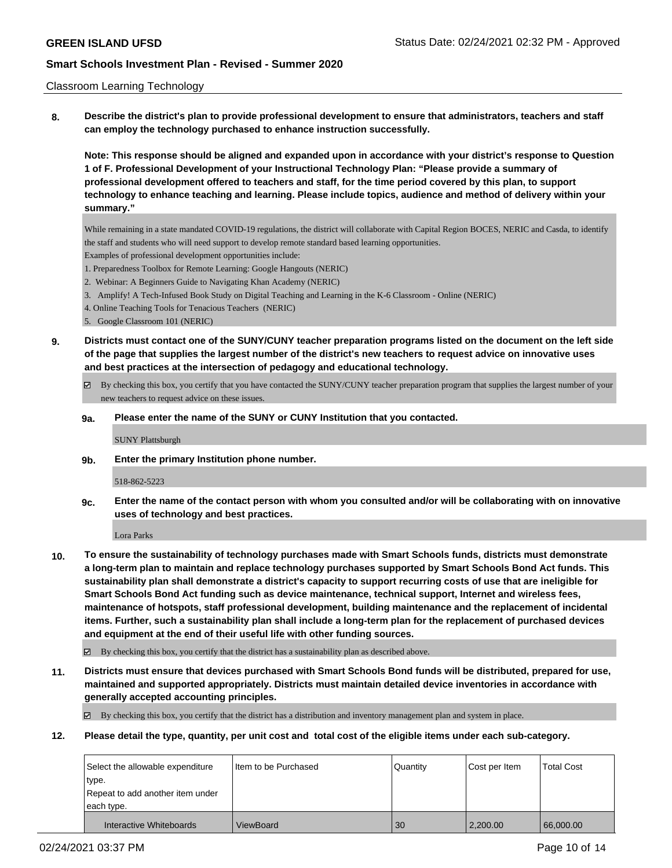### Classroom Learning Technology

**8. Describe the district's plan to provide professional development to ensure that administrators, teachers and staff can employ the technology purchased to enhance instruction successfully.**

**Note: This response should be aligned and expanded upon in accordance with your district's response to Question 1 of F. Professional Development of your Instructional Technology Plan: "Please provide a summary of professional development offered to teachers and staff, for the time period covered by this plan, to support technology to enhance teaching and learning. Please include topics, audience and method of delivery within your summary."**

While remaining in a state mandated COVID-19 regulations, the district will collaborate with Capital Region BOCES, NERIC and Casda, to identify the staff and students who will need support to develop remote standard based learning opportunities.

Examples of professional development opportunities include:

- 1. Preparedness Toolbox for Remote Learning: Google Hangouts (NERIC)
- 2. Webinar: A Beginners Guide to Navigating Khan Academy (NERIC)
- 3. Amplify! A Tech-Infused Book Study on Digital Teaching and Learning in the K-6 Classroom Online (NERIC)
- 4. Online Teaching Tools for Tenacious Teachers (NERIC)
- 5. Google Classroom 101 (NERIC)

**9. Districts must contact one of the SUNY/CUNY teacher preparation programs listed on the document on the left side of the page that supplies the largest number of the district's new teachers to request advice on innovative uses and best practices at the intersection of pedagogy and educational technology.**

- By checking this box, you certify that you have contacted the SUNY/CUNY teacher preparation program that supplies the largest number of your new teachers to request advice on these issues.
- **9a. Please enter the name of the SUNY or CUNY Institution that you contacted.**

SUNY Plattsburgh

**9b. Enter the primary Institution phone number.**

518-862-5223

**9c. Enter the name of the contact person with whom you consulted and/or will be collaborating with on innovative uses of technology and best practices.**

Lora Parks

**10. To ensure the sustainability of technology purchases made with Smart Schools funds, districts must demonstrate a long-term plan to maintain and replace technology purchases supported by Smart Schools Bond Act funds. This sustainability plan shall demonstrate a district's capacity to support recurring costs of use that are ineligible for Smart Schools Bond Act funding such as device maintenance, technical support, Internet and wireless fees, maintenance of hotspots, staff professional development, building maintenance and the replacement of incidental items. Further, such a sustainability plan shall include a long-term plan for the replacement of purchased devices and equipment at the end of their useful life with other funding sources.**

By checking this box, you certify that the district has a sustainability plan as described above.

**11. Districts must ensure that devices purchased with Smart Schools Bond funds will be distributed, prepared for use, maintained and supported appropriately. Districts must maintain detailed device inventories in accordance with generally accepted accounting principles.**

By checking this box, you certify that the district has a distribution and inventory management plan and system in place.

**12. Please detail the type, quantity, per unit cost and total cost of the eligible items under each sub-category.**

| Select the allowable expenditure | I Item to be Purchased | Quantity | Cost per Item | <b>Total Cost</b> |
|----------------------------------|------------------------|----------|---------------|-------------------|
| type.                            |                        |          |               |                   |
| Repeat to add another item under |                        |          |               |                   |
| each type.                       |                        |          |               |                   |
| Interactive Whiteboards          | ViewBoard              | 30       | 2,200.00      | 66,000.00         |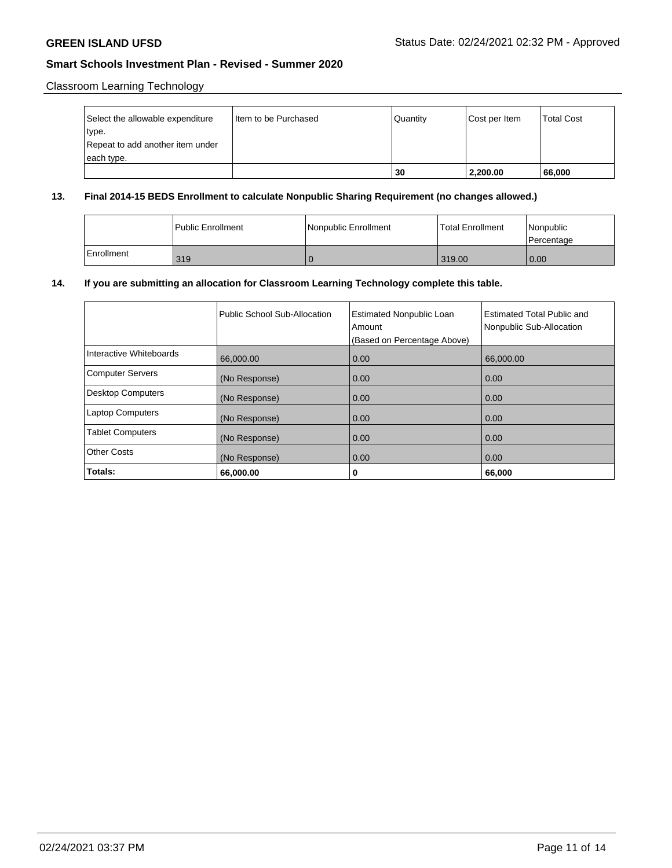# Classroom Learning Technology

| Select the allowable expenditure | Item to be Purchased | Quantity | Cost per Item | <b>Total Cost</b> |
|----------------------------------|----------------------|----------|---------------|-------------------|
| type.                            |                      |          |               |                   |
| Repeat to add another item under |                      |          |               |                   |
| each type.                       |                      |          |               |                   |
|                                  |                      | 30       | 2,200.00      | 66,000            |

## **13. Final 2014-15 BEDS Enrollment to calculate Nonpublic Sharing Requirement (no changes allowed.)**

|            | l Public Enrollment | Nonpublic Enrollment | <b>Total Enrollment</b> | <i>Nonpublic</i><br>l Percentage |
|------------|---------------------|----------------------|-------------------------|----------------------------------|
| Enrollment | 319                 |                      | 319.00                  | 0.00                             |

## **14. If you are submitting an allocation for Classroom Learning Technology complete this table.**

|                          | Public School Sub-Allocation | <b>Estimated Nonpublic Loan</b><br>Amount<br>(Based on Percentage Above) | Estimated Total Public and<br>Nonpublic Sub-Allocation |
|--------------------------|------------------------------|--------------------------------------------------------------------------|--------------------------------------------------------|
| Interactive Whiteboards  | 66,000.00                    | 0.00                                                                     | 66,000.00                                              |
| <b>Computer Servers</b>  | (No Response)                | 0.00                                                                     | 0.00                                                   |
| <b>Desktop Computers</b> | (No Response)                | 0.00                                                                     | 0.00                                                   |
| <b>Laptop Computers</b>  | (No Response)                | 0.00                                                                     | 0.00                                                   |
| <b>Tablet Computers</b>  | (No Response)                | 0.00                                                                     | 0.00                                                   |
| <b>Other Costs</b>       | (No Response)                | 0.00                                                                     | 0.00                                                   |
| Totals:                  | 66,000.00                    | 0                                                                        | 66,000                                                 |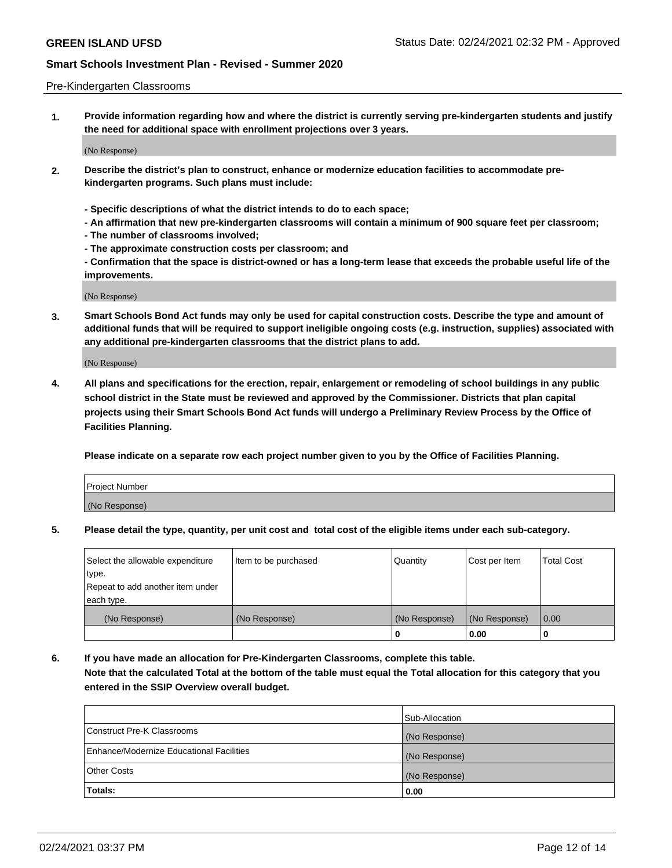#### Pre-Kindergarten Classrooms

**1. Provide information regarding how and where the district is currently serving pre-kindergarten students and justify the need for additional space with enrollment projections over 3 years.**

(No Response)

- **2. Describe the district's plan to construct, enhance or modernize education facilities to accommodate prekindergarten programs. Such plans must include:**
	- **Specific descriptions of what the district intends to do to each space;**
	- **An affirmation that new pre-kindergarten classrooms will contain a minimum of 900 square feet per classroom;**
	- **The number of classrooms involved;**
	- **The approximate construction costs per classroom; and**
	- **Confirmation that the space is district-owned or has a long-term lease that exceeds the probable useful life of the improvements.**

(No Response)

**3. Smart Schools Bond Act funds may only be used for capital construction costs. Describe the type and amount of additional funds that will be required to support ineligible ongoing costs (e.g. instruction, supplies) associated with any additional pre-kindergarten classrooms that the district plans to add.**

(No Response)

**4. All plans and specifications for the erection, repair, enlargement or remodeling of school buildings in any public school district in the State must be reviewed and approved by the Commissioner. Districts that plan capital projects using their Smart Schools Bond Act funds will undergo a Preliminary Review Process by the Office of Facilities Planning.**

**Please indicate on a separate row each project number given to you by the Office of Facilities Planning.**

| Project Number |  |
|----------------|--|
| (No Response)  |  |
|                |  |

**5. Please detail the type, quantity, per unit cost and total cost of the eligible items under each sub-category.**

| Select the allowable expenditure | Item to be purchased | Quantity      | Cost per Item | <b>Total Cost</b> |
|----------------------------------|----------------------|---------------|---------------|-------------------|
| type.                            |                      |               |               |                   |
| Repeat to add another item under |                      |               |               |                   |
| each type.                       |                      |               |               |                   |
| (No Response)                    | (No Response)        | (No Response) | (No Response) | 0.00              |
|                                  |                      | U             | 0.00          |                   |

**6. If you have made an allocation for Pre-Kindergarten Classrooms, complete this table. Note that the calculated Total at the bottom of the table must equal the Total allocation for this category that you entered in the SSIP Overview overall budget.**

|                                          | Sub-Allocation |
|------------------------------------------|----------------|
| Construct Pre-K Classrooms               | (No Response)  |
| Enhance/Modernize Educational Facilities | (No Response)  |
| <b>Other Costs</b>                       | (No Response)  |
| Totals:                                  | 0.00           |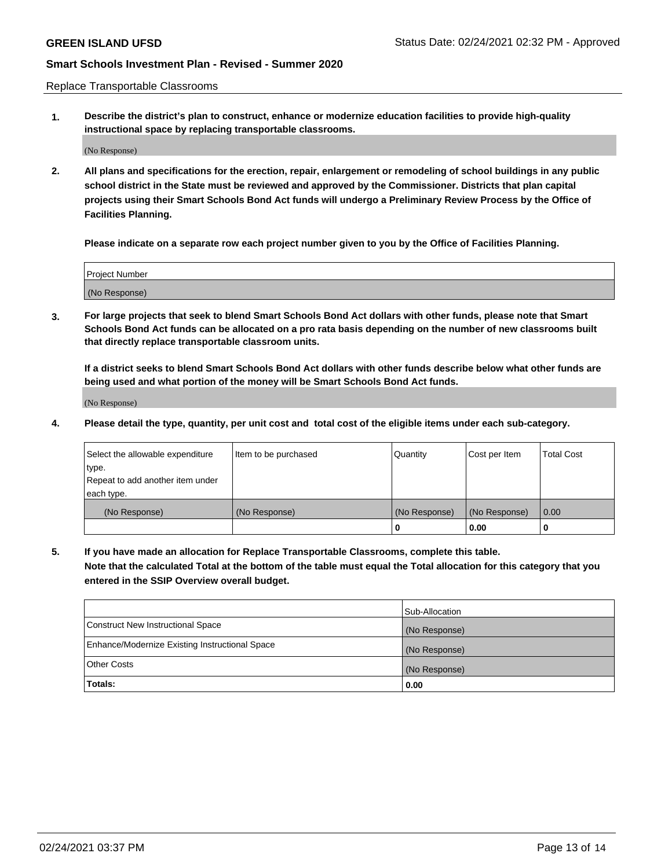Replace Transportable Classrooms

**1. Describe the district's plan to construct, enhance or modernize education facilities to provide high-quality instructional space by replacing transportable classrooms.**

(No Response)

**2. All plans and specifications for the erection, repair, enlargement or remodeling of school buildings in any public school district in the State must be reviewed and approved by the Commissioner. Districts that plan capital projects using their Smart Schools Bond Act funds will undergo a Preliminary Review Process by the Office of Facilities Planning.**

**Please indicate on a separate row each project number given to you by the Office of Facilities Planning.**

| Project Number |  |
|----------------|--|
|                |  |
|                |  |
|                |  |
|                |  |
| (No Response)  |  |
|                |  |
|                |  |
|                |  |

**3. For large projects that seek to blend Smart Schools Bond Act dollars with other funds, please note that Smart Schools Bond Act funds can be allocated on a pro rata basis depending on the number of new classrooms built that directly replace transportable classroom units.**

**If a district seeks to blend Smart Schools Bond Act dollars with other funds describe below what other funds are being used and what portion of the money will be Smart Schools Bond Act funds.**

(No Response)

**4. Please detail the type, quantity, per unit cost and total cost of the eligible items under each sub-category.**

| Select the allowable expenditure | Item to be purchased | Quantity      | Cost per Item | Total Cost |
|----------------------------------|----------------------|---------------|---------------|------------|
| ∣type.                           |                      |               |               |            |
| Repeat to add another item under |                      |               |               |            |
| each type.                       |                      |               |               |            |
| (No Response)                    | (No Response)        | (No Response) | (No Response) | 0.00       |
|                                  |                      | u             | 0.00          |            |

**5. If you have made an allocation for Replace Transportable Classrooms, complete this table. Note that the calculated Total at the bottom of the table must equal the Total allocation for this category that you entered in the SSIP Overview overall budget.**

|                                                | Sub-Allocation |
|------------------------------------------------|----------------|
| Construct New Instructional Space              | (No Response)  |
| Enhance/Modernize Existing Instructional Space | (No Response)  |
| Other Costs                                    | (No Response)  |
| Totals:                                        | 0.00           |